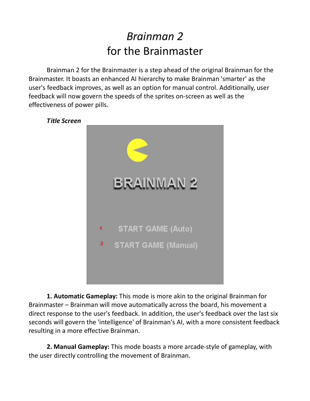## *Brainman 2* for the Brainmaster

Brainman 2 for the Brainmaster is a step ahead of the original Brainman for the Brainmaster. It boasts an enhanced AI hierarchy to make Brainman 'smarter' as the user's feedback improves, as well as an option for manual control. Additionally, user feedback will now govern the speeds of the sprites on‐screen as well as the effectiveness of power pills.



**1. Automatic Gameplay:** This mode is more akin to the original Brainman for Brainmaster – Brainman will move automatically across the board, his movement a direct response to the user's feedback. In addition, the user's feedback over the last six seconds will govern the 'intelligence' of Brainman's AI, with a more consistent feedback resulting in a more effective Brainman.

**2. Manual Gameplay:** This mode boasts a more arcade‐style of gameplay, with the user directly controlling the movement of Brainman.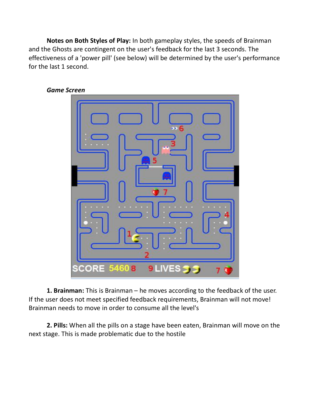**Notes on Both Styles of Play:** In both gameplay styles, the speeds of Brainman and the Ghosts are contingent on the user's feedback for the last 3 seconds. The effectiveness of a 'power pill' (see below) will be determined by the user's performance for the last 1 second.



*Game Screen*

**1. Brainman:** This is Brainman – he moves according to the feedback of the user. If the user does not meet specified feedback requirements, Brainman will not move! Brainman needs to move in order to consume all the level's

**2. Pills:** When all the pills on a stage have been eaten, Brainman will move on the next stage. This is made problematic due to the hostile